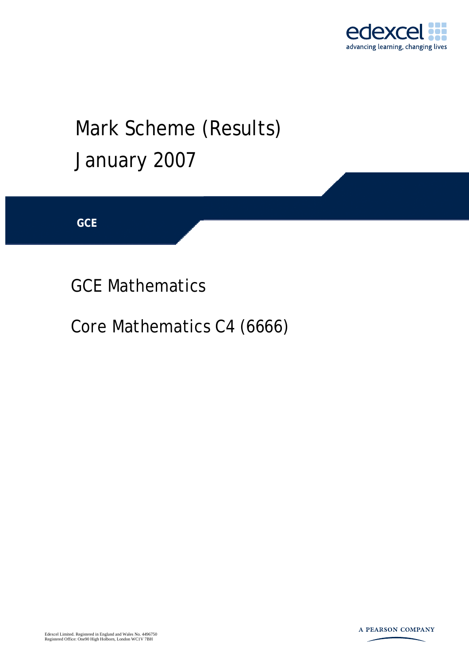

## Mark Scheme (Results) January 2007

**GCE** 

GCE Mathematics

Core Mathematics C4 (6666)

Edexcel Limited. Registered in England and Wales No. 4496750 Registered Office: One90 High Holborn, London WC1V 7BH

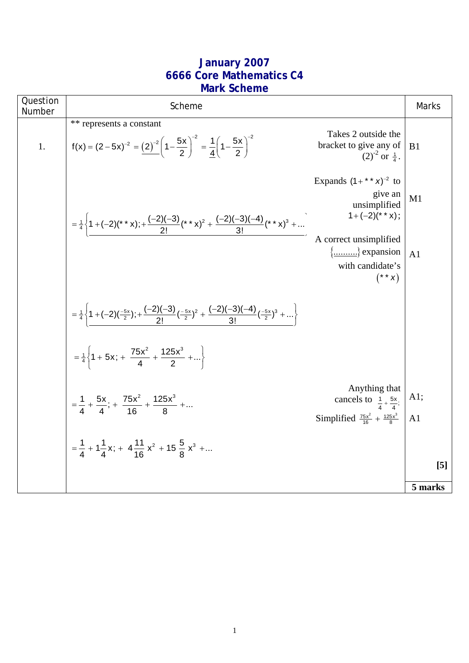## **January 2007 6666 Core Mathematics C4 Mark Scheme**

| Question<br>Number | Scheme                                                                                                                                                     |                                                                                                                | Marks          |
|--------------------|------------------------------------------------------------------------------------------------------------------------------------------------------------|----------------------------------------------------------------------------------------------------------------|----------------|
| 1.                 | ** represents a constant<br>$f(x) = (2-5x)^{-2} = (2)^{-2} \left(1-\frac{5x}{2}\right)^{-2} = \frac{1}{4} \left(1-\frac{5x}{2}\right)^{-2}$                | Takes 2 outside the<br>bracket to give any of<br>$(2)^{-2}$ or $\frac{1}{4}$ .                                 | B <sub>1</sub> |
|                    | = $\frac{1}{4}$ {1+(-2)(**x);+ $\frac{(-2)(-3)}{2!}$ (**x) <sup>2</sup> + $\frac{(-2)(-3)(-4)}{3!}$ (**x) <sup>3</sup> +                                   | Expands $(1 + * * x)^{-2}$ to<br>give an<br>unsimplified<br>$1+(-2)$ (* * x);                                  | M1             |
|                    |                                                                                                                                                            | A correct unsimplified<br>{} expansion<br>with candidate's<br>$(* * x)$                                        | A <sub>1</sub> |
|                    | = $\frac{1}{4}$ { $\left\{ \frac{1+(-2)(-\frac{5x}{2})}{2};+\frac{(-2)(-3)}{2!}(\frac{-5x}{2})^2+\frac{(-2)(-3)(-4)}{3!}(\frac{-5x}{2})^3+\ldots \right\}$ |                                                                                                                |                |
|                    | $=\frac{1}{4}\left\{1+5x; + \frac{75x^2}{4} + \frac{125x^3}{2} + \right\}$                                                                                 |                                                                                                                |                |
|                    | $=\frac{1}{4} + \frac{5x}{4}$ ; + $\frac{75x^2}{16} + \frac{125x^3}{8} + $                                                                                 | Anything that<br>cancels to $\frac{1}{4} + \frac{5x}{4}$ ;<br>Simplified $\frac{75x^2}{16} + \frac{125x^3}{8}$ | A1;<br>A1      |
|                    | = $\frac{1}{4}$ + 1 $\frac{1}{4}$ x; + 4 $\frac{11}{16}$ x <sup>2</sup> + 15 $\frac{5}{8}$ x <sup>3</sup> +                                                |                                                                                                                | $[5]$          |
|                    |                                                                                                                                                            |                                                                                                                | 5 marks        |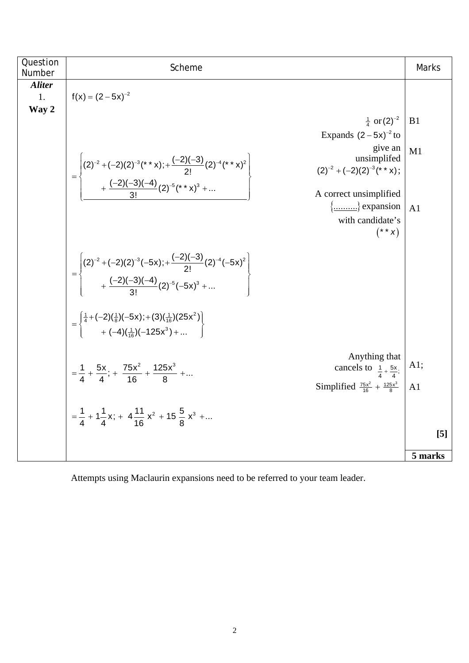| Question<br>Number  | Scheme                                                                                                                                                                                                                                                                                                                                                                                                                                                                                                                                                                                                   | Marks                 |
|---------------------|----------------------------------------------------------------------------------------------------------------------------------------------------------------------------------------------------------------------------------------------------------------------------------------------------------------------------------------------------------------------------------------------------------------------------------------------------------------------------------------------------------------------------------------------------------------------------------------------------------|-----------------------|
| <b>Aliter</b><br>1. | $f(x) = (2 - 5x)^{-2}$                                                                                                                                                                                                                                                                                                                                                                                                                                                                                                                                                                                   |                       |
| Way 2               | $\frac{1}{4}$ or $(2)^{-2}$<br>Expands $(2-5x)^{-2}$ to<br>give an<br>unsimplifed<br>$=\left\{\frac{(2)^{-2}+(-2)(2)^{-3}({}^{\star}\ {}^{\star}\ x);+\frac{(-2)(-3)}{2!}(2)^{-4}({}^{\star}\ {}^{\star}\ x)^2}{+\frac{(-2)(-3)(-4)}{3!}(2)^{-5}({}^{\star}\ {}^{\star}\ x)^3+\\ \phantom{(2)}\ \phantom{\left(\frac{(2)^{-2}+(-2)(2)(2)^2}{2!}(2)^2+(-2)(2)^2+(-2)(2)^2+(-2)(2)^2+(-2)(2)^2+(-2)(2)^2+(-2)(2)^2+(-2)(2)^2+(-2)(2)^2+(-2)(2)^2+(-2)(2)^2+(-2)(2)^2+(-2$<br>$(2)^{-2} + (-2)(2)^{-3}$ (* * x);<br>A correct unsimplified<br>$\{\dots \dots \}$ expansion<br>with candidate's<br>$(* * x)$ | B1<br>M1<br>A1        |
|                     | $=\left\{\n\begin{pmatrix}\n(2)^{-2}+(-2)(2)^{-3}(-5x) + \frac{(-2)(-3)}{2!}(2)^{-4}(-5x)^2 \\ + \frac{(-2)(-3)(-4)}{3!}(2)^{-5}(-5x)^3 + \dots\n\end{pmatrix}\n\right\}$                                                                                                                                                                                                                                                                                                                                                                                                                                |                       |
|                     | $=\begin{cases} \frac{1}{4} + (-2)(\frac{1}{8})(-5x) + (3)(\frac{1}{16})(25x^2) \\ + (-4)(\frac{1}{16})(-125x^3) +  \end{cases}$                                                                                                                                                                                                                                                                                                                                                                                                                                                                         |                       |
|                     | $=\frac{1}{4} + \frac{5x}{4}; + \frac{75x^2}{16} + \frac{125x^3}{8} + $<br>= $\frac{1}{4} + 1\frac{1}{4}x; + 4\frac{11}{16}x^2 + 15\frac{5}{8}x^3 + $<br>Anything that<br>cancels to $\frac{1}{4} + \frac{5x}{4}$ ;<br>Simplified $\frac{75x^2}{16} + \frac{125x^3}{8}$                                                                                                                                                                                                                                                                                                                                  | A1;<br>A <sub>1</sub> |
|                     |                                                                                                                                                                                                                                                                                                                                                                                                                                                                                                                                                                                                          | [5]                   |
|                     |                                                                                                                                                                                                                                                                                                                                                                                                                                                                                                                                                                                                          | 5 marks               |

Attempts using Maclaurin expansions need to be referred to your team leader.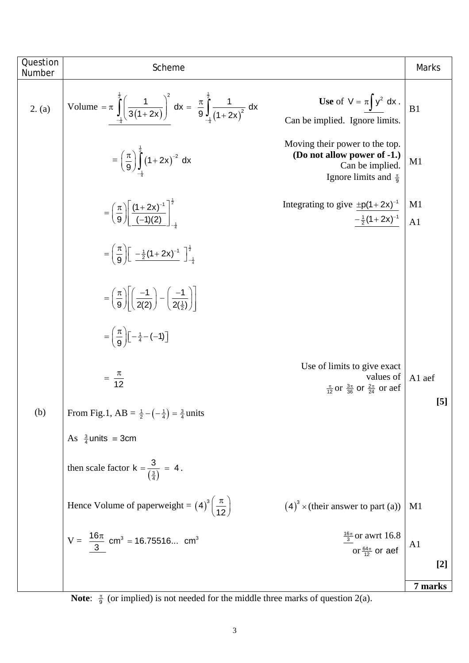| Question | Scheme                                                                                                                                         |                                                                                                                       | Marks           |
|----------|------------------------------------------------------------------------------------------------------------------------------------------------|-----------------------------------------------------------------------------------------------------------------------|-----------------|
| Number   |                                                                                                                                                |                                                                                                                       |                 |
| 2. (a)   | Volume = $\pi \int_{-1}^{\frac{\pi}{2}} \left( \frac{1}{3(1+2x)} \right)^2 dx = \frac{\pi}{9} \int_{-1}^{\frac{\pi}{2}} \frac{1}{(1+2x)^2} dx$ | Use of $V = \pi \int y^2 dx$ .<br>Can be implied. Ignore limits.                                                      | B1              |
|          | $=\left(\frac{\pi}{9}\right)\int_{1}^{2}(1+2x)^{-2} dx$                                                                                        | Moving their power to the top.<br>(Do not allow power of -1.)<br>Can be implied.<br>Ignore limits and $\frac{\pi}{9}$ | M1              |
|          | $= \left(\frac{\pi}{9}\right) \left[ \frac{(1+2x)^{-1}}{(-1)(2)} \right]^{\frac{1}{2}}$                                                        | Integrating to give $\pm p(1+2x)^{-1}$<br>$-\frac{1}{2}(1+2x)^{-1}$                                                   | M1<br>A1        |
|          | $=\left(\frac{\pi}{9}\right)\left[\frac{-\frac{1}{2}(1+2x)^{-1}}{\frac{1}{2}+\frac{1}{4}}\right]_{-\frac{1}{4}}^{\frac{1}{2}}$                 |                                                                                                                       |                 |
|          | $=\left(\frac{\pi}{9}\right)\left(\frac{-1}{2(2)}\right)-\left(\frac{-1}{2(\frac{1}{2})}\right)$                                               |                                                                                                                       |                 |
|          | $=\left(\frac{\pi}{9}\right)\left[-\frac{1}{4}-(-1)\right]$                                                                                    |                                                                                                                       |                 |
|          | $rac{\pi}{12}$                                                                                                                                 | Use of limits to give exact<br>values of<br>$\frac{\pi}{12}$ or $\frac{3\pi}{36}$ or $\frac{2\pi}{24}$ or aef         | A1 aef<br>$[5]$ |
| (b)      | From Fig.1, AB = $\frac{1}{2} - (-\frac{1}{4}) = \frac{3}{4}$ units                                                                            |                                                                                                                       |                 |
|          | As $\frac{3}{4}$ units = 3cm                                                                                                                   |                                                                                                                       |                 |
|          | then scale factor $k = \frac{3}{\left(\frac{3}{4}\right)} = 4$ .                                                                               |                                                                                                                       |                 |
|          | Hence Volume of paperweight = $(4)^{3} \left( \frac{\pi}{12} \right)$                                                                          | $(4)^3$ × (their answer to part (a))                                                                                  | M <sub>1</sub>  |
|          | $V = \frac{16\pi}{3}$ cm <sup>3</sup> = 16.75516 cm <sup>3</sup>                                                                               | $\frac{16\pi}{3}$ or awrt 16.8<br>or $\frac{64\pi}{12}$ or aef                                                        | A <sub>1</sub>  |
|          |                                                                                                                                                |                                                                                                                       | $[2]$           |
|          |                                                                                                                                                |                                                                                                                       | 7 marks         |

**Note:**  $\frac{\pi}{9}$  (or implied) is not needed for the middle three marks of question 2(a).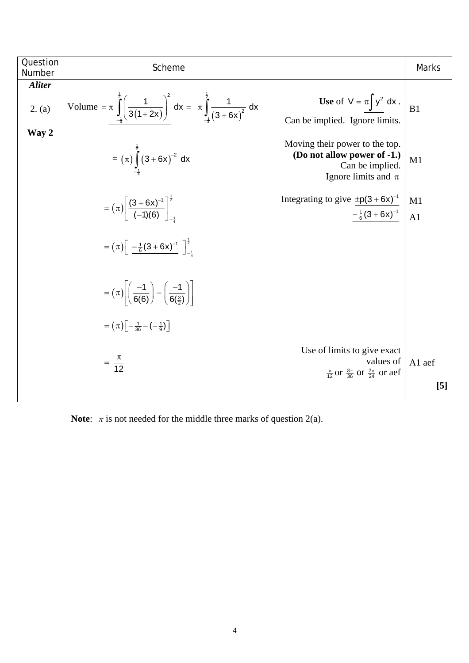| Question<br>Number | Scheme                                                                                                       |                                                                                                               | <b>Marks</b>     |
|--------------------|--------------------------------------------------------------------------------------------------------------|---------------------------------------------------------------------------------------------------------------|------------------|
| <b>Aliter</b>      |                                                                                                              |                                                                                                               |                  |
| 2. (a)             | Volume = $\pi \int_{-1}^{2} \left( \frac{1}{3(1+2x)} \right)^2 dx = \pi \int_{-1}^{2} \frac{1}{(3+6x)^2} dx$ | Use of $V = \pi \int y^2 dx$ .<br>Can be implied. Ignore limits.                                              | B1               |
| Way 2              | = $(\pi)$ $\int_{1}^{2} (3+6x)^{-2} dx$                                                                      | Moving their power to the top.<br>(Do not allow power of -1.)<br>Can be implied.<br>Ignore limits and $\pi$   | M1               |
|                    |                                                                                                              | Integrating to give $\pm p(3+6x)^{-1}$                                                                        | M1               |
|                    | = $(\pi)$ $\left[\frac{(3+6x)^{-1}}{(-1)(6)}\right]^{\frac{1}{2}}$                                           | $-\frac{1}{6}(3+6x)^{-1}$                                                                                     | A1               |
|                    | $= (\pi) \left[ \frac{-\frac{1}{6}(3+6x)^{-1}}{\frac{1}{2}} \right]_{-1}^{\frac{1}{2}}$                      |                                                                                                               |                  |
|                    | $= (\pi) \left  \left( \frac{-1}{6(6)} \right) - \left( \frac{-1}{6(\frac{3}{2})} \right) \right $           |                                                                                                               |                  |
|                    | $=\left(\pi\right)\left[-\frac{1}{36}-\left(-\frac{1}{9}\right)\right]$                                      |                                                                                                               |                  |
|                    | $=\frac{\pi}{12}$                                                                                            | Use of limits to give exact<br>values of<br>$\frac{\pi}{12}$ or $\frac{3\pi}{36}$ or $\frac{2\pi}{24}$ or aef | A1 aef           |
|                    |                                                                                                              |                                                                                                               | $\left[5\right]$ |

**Note:**  $\pi$  is not needed for the middle three marks of question 2(a).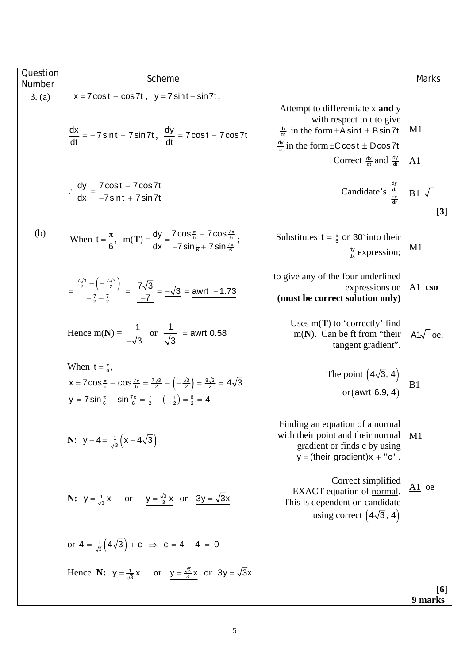| Question<br>Number | Scheme                                                                                                                                                                                                                                                                                       |                                                                                                                                                                    | <b>Marks</b>        |
|--------------------|----------------------------------------------------------------------------------------------------------------------------------------------------------------------------------------------------------------------------------------------------------------------------------------------|--------------------------------------------------------------------------------------------------------------------------------------------------------------------|---------------------|
| 3. (a)             | $x = 7 \cos t - \cos 7t$ , $y = 7 \sin t - \sin 7t$ ,                                                                                                                                                                                                                                        | Attempt to differentiate x and y<br>with respect to t to give                                                                                                      | M1                  |
|                    | $\frac{dx}{dt} = -7 \sin t + 7 \sin 7t, \frac{dy}{dt} = 7 \cos t - 7 \cos 7t$                                                                                                                                                                                                                | $\frac{dx}{dt}$ in the form $\pm$ A sint $\pm$ B sin 7t<br>$\frac{dy}{dt}$ in the form $\pm$ C cos t $\pm$ D cos 7t<br>Correct $\frac{dx}{dt}$ and $\frac{dy}{dt}$ | A <sub>1</sub>      |
|                    | $\therefore \frac{dy}{dx} = \frac{7 \cos t - 7 \cos 7t}{-7 \sin t + 7 \sin 7t}$                                                                                                                                                                                                              | Candidate's $\frac{\frac{dy}{dt}}{\frac{dx}{dt}}$ B1 $\sqrt{ }$                                                                                                    | $[3]$               |
| (b)                | When $t = \frac{\pi}{6}$ , $m(T) = \frac{dy}{dx} = \frac{7 \cos \frac{\pi}{6} - 7 \cos \frac{7\pi}{6}}{-7 \sin \frac{\pi}{6} + 7 \sin \frac{7\pi}{6}}$ ;                                                                                                                                     | Substitutes $t = \frac{\pi}{6}$ or 30° into their<br>$\frac{dy}{dx}$ expression;                                                                                   | M1                  |
|                    | $=\frac{\frac{7\sqrt{3}}{2} - \left(-\frac{7\sqrt{3}}{2}\right)}{-\frac{7}{2} - \frac{7}{2}} = \frac{7\sqrt{3}}{-7} = \frac{-\sqrt{3}}{-\frac{3}{2}} = \frac{3 \text{wrt}}{-1.73}$                                                                                                           | to give any of the four underlined<br>expressions oe<br>(must be correct solution only)                                                                            | A1 cso              |
|                    | Hence m(N) = $\frac{-1}{\sqrt{3}}$ or $\frac{1}{\sqrt{3}}$ = awrt 0.58                                                                                                                                                                                                                       | Uses $m(T)$ to 'correctly' find<br>$m(N)$ . Can be ft from "their"<br>tangent gradient".                                                                           | A1 $\sqrt{\ }$ oe.  |
|                    | When $t = \frac{\pi}{6}$ ,<br>$x = 7 \cos{\frac{\pi}{6}} - \cos{\frac{7\pi}{6}} = {\frac{7\sqrt{3}}{2}} - (-{\frac{\sqrt{3}}{2}}) = {\frac{8\sqrt{3}}{2}} = 4\sqrt{3}$<br>y = 7 sin $\frac{\pi}{6}$ - sin $\frac{7\pi}{6}$ = $\frac{7}{2}$ - $\left(-\frac{1}{2}\right)$ = $\frac{8}{2}$ = 4 | The point $(4\sqrt{3}, 4)$<br>or (awrt 6.9, 4)                                                                                                                     | B <sub>1</sub>      |
|                    | <b>N</b> : $y-4=\frac{1}{\sqrt{3}}(x-4\sqrt{3})$                                                                                                                                                                                                                                             | Finding an equation of a normal<br>with their point and their normal<br>gradient or finds c by using<br>$y = (their gradient)x + "c".$                             | M1                  |
|                    | <b>N:</b> $y = \frac{1}{\sqrt{3}}x$ or $y = \frac{\sqrt{3}}{3}x$ or $3y = \sqrt{3}x$                                                                                                                                                                                                         | Correct simplified<br>EXACT equation of normal.<br>This is dependent on candidate<br>using correct $(4\sqrt{3}, 4)$                                                | $\underline{A1}$ oe |
|                    | or $4 = \frac{1}{\sqrt{3}}(4\sqrt{3}) + c \implies c = 4 - 4 = 0$                                                                                                                                                                                                                            |                                                                                                                                                                    |                     |
|                    | Hence N: $y = \frac{1}{\sqrt{3}}x$ or $y = \frac{\sqrt{3}}{3}x$ or $3y = \sqrt{3}x$                                                                                                                                                                                                          |                                                                                                                                                                    |                     |
|                    |                                                                                                                                                                                                                                                                                              |                                                                                                                                                                    | [6]<br>9 marks      |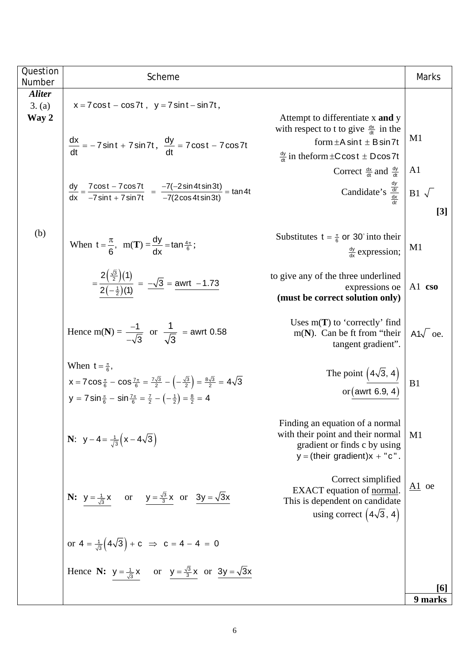| Question                | Scheme                                                                                                                                                                                                                                                                                          |                                                                                                                                        | Marks               |
|-------------------------|-------------------------------------------------------------------------------------------------------------------------------------------------------------------------------------------------------------------------------------------------------------------------------------------------|----------------------------------------------------------------------------------------------------------------------------------------|---------------------|
| Number<br><b>Aliter</b> |                                                                                                                                                                                                                                                                                                 |                                                                                                                                        |                     |
| 3. (a)                  | $x = 7 \cos t - \cos 7t$ , $y = 7 \sin t - \sin 7t$ ,                                                                                                                                                                                                                                           |                                                                                                                                        |                     |
| Way 2                   | $\frac{dx}{dt} = -7 \sin t + 7 \sin 7t, \frac{dy}{dt} = 7 \cos t - 7 \cos 7t$                                                                                                                                                                                                                   | Attempt to differentiate x and y<br>with respect to t to give $\frac{dx}{dt}$ in the<br>form $\pm A \sin t \pm B \sin 7t$              | M1                  |
|                         |                                                                                                                                                                                                                                                                                                 | $\frac{dy}{dt}$ in the form $\pm C \cos t \pm D \cos 7t$                                                                               |                     |
|                         |                                                                                                                                                                                                                                                                                                 | Correct $\frac{dx}{dt}$ and $\frac{dy}{dt}$                                                                                            | A1                  |
|                         | $\frac{dy}{dx} = \frac{7\cos t - 7\cos 7t}{-7\sin t + 7\sin 7t} = \frac{-7(-2\sin 4t\sin 3t)}{-7(2\cos 4t\sin 3t)} = \tan 4t$                                                                                                                                                                   | Candidate's $\frac{\frac{dy}{dt}}{\frac{dx}{dt}}$ B1 $\sqrt{ }$                                                                        |                     |
|                         |                                                                                                                                                                                                                                                                                                 |                                                                                                                                        | $[3]$               |
| (b)                     | When $t = \frac{\pi}{6}$ , $m(T) = \frac{dy}{dx} = \tan \frac{4\pi}{6}$ ;                                                                                                                                                                                                                       | Substitutes $t = \frac{\pi}{6}$ or 30° into their<br>$\frac{dy}{dx}$ expression;                                                       | M <sub>1</sub>      |
|                         | $=\frac{2(\frac{\sqrt{3}}{2})(1)}{2(-\frac{1}{2})(1)}=\frac{-\sqrt{3}}{2}=\frac{\text{awrt}}{2(1-2)\sqrt{3}}$                                                                                                                                                                                   | to give any of the three underlined<br>expressions oe<br>(must be correct solution only)                                               | A1 cso              |
|                         | Hence m(N) = $\frac{-1}{-\sqrt{3}}$ or $\frac{1}{\sqrt{3}}$ = awrt 0.58                                                                                                                                                                                                                         | Uses $m(T)$ to 'correctly' find<br>$m(N)$ . Can be ft from "their"<br>tangent gradient".                                               | A1 $\sqrt{\ }$ oe.  |
|                         | When $t = \frac{\pi}{6}$ ,<br>$x = 7 \cos \frac{\pi}{6} - \cos \frac{7\pi}{6} = \frac{7\sqrt{3}}{2} - \left(-\frac{\sqrt{3}}{2}\right) = \frac{8\sqrt{3}}{2} = 4\sqrt{3}$<br>y = 7 sin $\frac{\pi}{6}$ - sin $\frac{7\pi}{6}$ = $\frac{7}{2}$ - $\left(-\frac{1}{2}\right)$ = $\frac{8}{2}$ = 4 | The point $(4\sqrt{3}, 4)$<br>or (awrt 6.9, 4)                                                                                         | B <sub>1</sub>      |
|                         | <b>N</b> : $y-4=\frac{1}{\sqrt{3}}(x-4\sqrt{3})$                                                                                                                                                                                                                                                | Finding an equation of a normal<br>with their point and their normal<br>gradient or finds c by using<br>$y = (their gradient)x + "c".$ | M1                  |
|                         | <b>N:</b> $y = \frac{1}{\sqrt{3}}x$ or $y = \frac{\sqrt{3}}{3}x$ or $3y = \sqrt{3}x$                                                                                                                                                                                                            | Correct simplified<br>EXACT equation of normal.<br>This is dependent on candidate<br>using correct $(4\sqrt{3}, 4)$                    | $\underline{A1}$ oe |
|                         | or $4 = \frac{1}{\sqrt{3}} (4\sqrt{3}) + c \implies c = 4 - 4 = 0$                                                                                                                                                                                                                              |                                                                                                                                        |                     |
|                         | Hence N: $y = \frac{1}{\sqrt{3}}x$ or $y = \frac{\sqrt{3}}{3}x$ or $3y = \sqrt{3}x$                                                                                                                                                                                                             |                                                                                                                                        |                     |
|                         |                                                                                                                                                                                                                                                                                                 |                                                                                                                                        | [6]                 |
|                         |                                                                                                                                                                                                                                                                                                 |                                                                                                                                        | 9 marks             |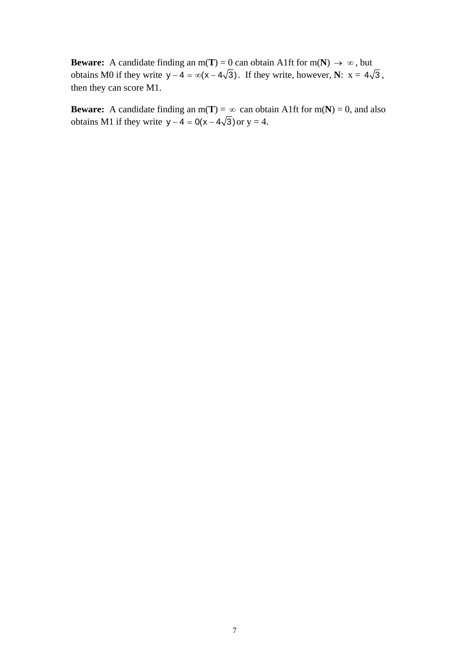**Beware:** A candidate finding an  $m(T) = 0$  can obtain A1ft for  $m(N) \rightarrow \infty$ , but obtains M0 if they write  $y - 4 = \infty(x - 4\sqrt{3})$ . If they write, however, **N**:  $x = 4\sqrt{3}$ , then they can score M1.

**Beware:** A candidate finding an  $m(T) = \infty$  can obtain A1ft for  $m(N) = 0$ , and also obtains M1 if they write  $y - 4 = 0(x - 4\sqrt{3})$  or  $y = 4$ .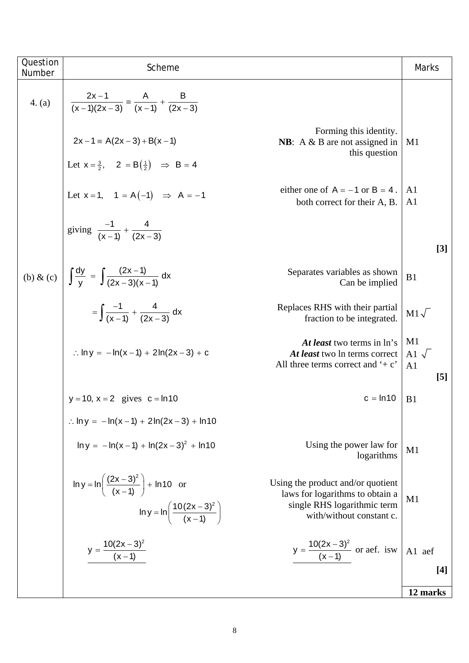| Forming this identity.<br>$2x-1 \equiv A(2x-3) + B(x-1)$<br><b>NB</b> : $A \& B$ are not assigned in<br>M1<br>this question<br>Let $x = \frac{3}{2}$ , $2 = B(\frac{1}{2}) \implies B = 4$<br>either one of $A = -1$ or $B = 4$ .<br>A <sub>1</sub><br>Let $x = 1$ , $1 = A(-1) \Rightarrow A = -1$<br>both correct for their A, B.<br>A1<br>giving $\frac{-1}{(x-1)} + \frac{4}{(2x-3)}$<br>(b) & (c) $\int \frac{dy}{v} = \int \frac{(2x-1)}{(2x-3)(x-1)} dx$<br>Separates variables as shown<br>B1<br>Can be implied<br>$=\int \frac{-1}{(x-1)} + \frac{4}{(2x-3)} dx$<br>Replaces RHS with their partial<br>$M1\sqrt{ }$<br>fraction to be integrated.<br>M1<br>At least two terms in ln's<br>: $\ln y = -\ln(x-1) + 2\ln(2x-3) + c$<br>Al $\sqrt{ }$<br>At least two ln terms correct<br>All three terms correct and $\div$ c'<br>A <sub>1</sub> | [5]          |                                                                 |  |
|-------------------------------------------------------------------------------------------------------------------------------------------------------------------------------------------------------------------------------------------------------------------------------------------------------------------------------------------------------------------------------------------------------------------------------------------------------------------------------------------------------------------------------------------------------------------------------------------------------------------------------------------------------------------------------------------------------------------------------------------------------------------------------------------------------------------------------------------------------|--------------|-----------------------------------------------------------------|--|
|                                                                                                                                                                                                                                                                                                                                                                                                                                                                                                                                                                                                                                                                                                                                                                                                                                                       |              |                                                                 |  |
|                                                                                                                                                                                                                                                                                                                                                                                                                                                                                                                                                                                                                                                                                                                                                                                                                                                       |              |                                                                 |  |
|                                                                                                                                                                                                                                                                                                                                                                                                                                                                                                                                                                                                                                                                                                                                                                                                                                                       |              |                                                                 |  |
|                                                                                                                                                                                                                                                                                                                                                                                                                                                                                                                                                                                                                                                                                                                                                                                                                                                       |              |                                                                 |  |
|                                                                                                                                                                                                                                                                                                                                                                                                                                                                                                                                                                                                                                                                                                                                                                                                                                                       |              |                                                                 |  |
|                                                                                                                                                                                                                                                                                                                                                                                                                                                                                                                                                                                                                                                                                                                                                                                                                                                       | $[3]$        |                                                                 |  |
|                                                                                                                                                                                                                                                                                                                                                                                                                                                                                                                                                                                                                                                                                                                                                                                                                                                       |              |                                                                 |  |
|                                                                                                                                                                                                                                                                                                                                                                                                                                                                                                                                                                                                                                                                                                                                                                                                                                                       |              |                                                                 |  |
|                                                                                                                                                                                                                                                                                                                                                                                                                                                                                                                                                                                                                                                                                                                                                                                                                                                       |              |                                                                 |  |
|                                                                                                                                                                                                                                                                                                                                                                                                                                                                                                                                                                                                                                                                                                                                                                                                                                                       |              |                                                                 |  |
|                                                                                                                                                                                                                                                                                                                                                                                                                                                                                                                                                                                                                                                                                                                                                                                                                                                       |              |                                                                 |  |
|                                                                                                                                                                                                                                                                                                                                                                                                                                                                                                                                                                                                                                                                                                                                                                                                                                                       |              |                                                                 |  |
|                                                                                                                                                                                                                                                                                                                                                                                                                                                                                                                                                                                                                                                                                                                                                                                                                                                       |              |                                                                 |  |
|                                                                                                                                                                                                                                                                                                                                                                                                                                                                                                                                                                                                                                                                                                                                                                                                                                                       |              |                                                                 |  |
|                                                                                                                                                                                                                                                                                                                                                                                                                                                                                                                                                                                                                                                                                                                                                                                                                                                       |              |                                                                 |  |
| 4. (a)                                                                                                                                                                                                                                                                                                                                                                                                                                                                                                                                                                                                                                                                                                                                                                                                                                                |              | $\frac{2x-1}{(x-1)(2x-3)} = \frac{A}{(x-1)} + \frac{B}{(2x-3)}$ |  |
|                                                                                                                                                                                                                                                                                                                                                                                                                                                                                                                                                                                                                                                                                                                                                                                                                                                       |              |                                                                 |  |
| Question<br>Scheme<br>Number                                                                                                                                                                                                                                                                                                                                                                                                                                                                                                                                                                                                                                                                                                                                                                                                                          | <b>Marks</b> |                                                                 |  |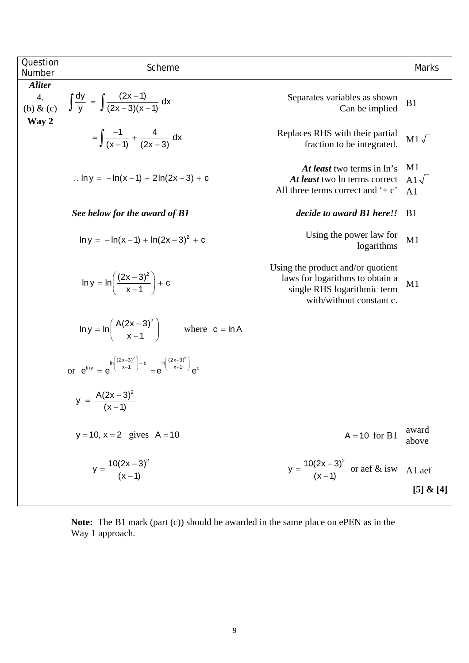| Question<br>Number                           | Scheme                                                                                                             |                                                                                                                                 | <b>Marks</b>                         |
|----------------------------------------------|--------------------------------------------------------------------------------------------------------------------|---------------------------------------------------------------------------------------------------------------------------------|--------------------------------------|
| <b>Aliter</b><br>4.<br>(b) $\&$ (c)<br>Way 2 | $\int \frac{dy}{y} = \int \frac{(2x-1)}{(2x-3)(x-1)} dx$                                                           | Separates variables as shown<br>Can be implied                                                                                  | B1                                   |
|                                              | $=\int \frac{-1}{(x-1)} + \frac{4}{(2x-3)} dx$                                                                     | Replaces RHS with their partial<br>fraction to be integrated.                                                                   | $M1\sqrt{ }$                         |
|                                              | : $\ln y = -\ln(x-1) + 2\ln(2x-3) + c$                                                                             | At least two terms in ln's<br>At least two ln terms correct<br>All three terms correct and $\div$ c'                            | M1<br>A1 $\sqrt{}$<br>A <sub>1</sub> |
|                                              | See below for the award of B1                                                                                      | decide to award B1 here!!                                                                                                       | B1                                   |
|                                              | $\ln y = -\ln(x-1) + \ln(2x-3)^2 + c$                                                                              | Using the power law for<br>logarithms                                                                                           | M1                                   |
|                                              | $\ln y = \ln \left( \frac{(2x-3)^2}{x-1} \right) + c$                                                              | Using the product and/or quotient<br>laws for logarithms to obtain a<br>single RHS logarithmic term<br>with/without constant c. | M1                                   |
|                                              | $\ln y = \ln \left( \frac{A(2x-3)^2}{x-1} \right)$ where $c = \ln A$                                               |                                                                                                                                 |                                      |
|                                              | or $e^{\ln y} = e^{\ln \left( \frac{(2x-3)^2}{x-1} \right) + c} = e^{\ln \left( \frac{(2x-3)^2}{x-1} \right)} e^c$ |                                                                                                                                 |                                      |
|                                              | $y = \frac{A(2x-3)^2}{(x-1)}$                                                                                      |                                                                                                                                 |                                      |
|                                              | $y = 10$ , $x = 2$ gives $A = 10$                                                                                  | $A = 10$ for B1                                                                                                                 | award<br>above                       |
|                                              | $y = \frac{10(2x-3)^2}{(x-1)}$                                                                                     | $y = \frac{10(2x-3)^2}{(x-1)}$ or aef & isw                                                                                     | A1 aef<br>[5] & [4]                  |
|                                              |                                                                                                                    |                                                                                                                                 |                                      |

**Note:** The B1 mark (part (c)) should be awarded in the same place on ePEN as in the Way 1 approach.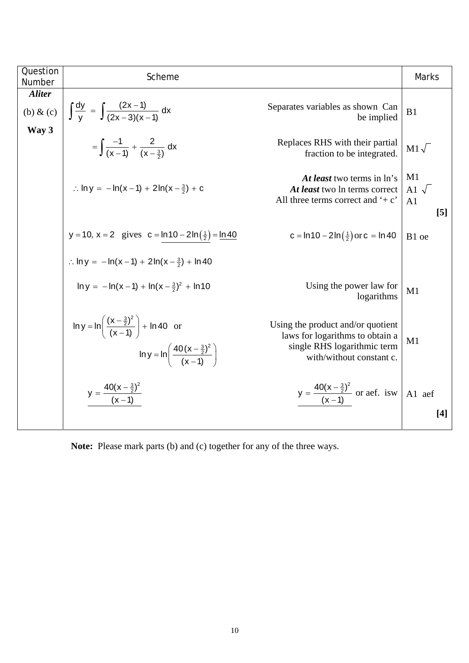| Question<br>Number             | Scheme                                                                                                                                             |                                                                                                                                 | <b>Marks</b>                              |
|--------------------------------|----------------------------------------------------------------------------------------------------------------------------------------------------|---------------------------------------------------------------------------------------------------------------------------------|-------------------------------------------|
| <b>Aliter</b><br>$(b)$ & $(c)$ | $\int \frac{dy}{y} = \int \frac{(2x-1)}{(2x-3)(x-1)} dx$                                                                                           | Separates variables as shown Can<br>be implied                                                                                  | B1                                        |
| Way 3                          | $=\int \frac{-1}{(x-1)} + \frac{2}{(x-\frac{3}{2})} dx$                                                                                            | Replaces RHS with their partial<br>fraction to be integrated.                                                                   | $M1\sqrt{ }$                              |
|                                | : $\ln y = -\ln(x-1) + 2\ln(x-\frac{3}{2}) + c$                                                                                                    | At least two terms in ln's<br>At least two ln terms correct<br>All three terms correct and $\div$ c'                            | M1<br>Al $\sqrt$<br>A <sub>1</sub><br>[5] |
|                                | y = 10, x = 2 gives c = ln 10 - 2ln $(\frac{1}{2})$ = ln 40                                                                                        | c = $\ln 10 - 2 \ln(\frac{1}{2})$ or c = $\ln 40$                                                                               | B1 oe                                     |
|                                | : $\ln y = -\ln(x-1) + 2\ln(x-\frac{3}{2}) + \ln 40$                                                                                               |                                                                                                                                 |                                           |
|                                | $\ln y = -\ln(x-1) + \ln(x-\frac{3}{2})^2 + \ln(10)$                                                                                               | Using the power law for<br>logarithms                                                                                           | M1                                        |
|                                | $\ln y = \ln \left( \frac{(x - \frac{3}{2})^2}{(x - 1)} \right) + \ln 40$ or<br>$\ln y = \ln \left( \frac{40(x - \frac{3}{2})^2}{(x - 1)} \right)$ | Using the product and/or quotient<br>laws for logarithms to obtain a<br>single RHS logarithmic term<br>with/without constant c. | M1                                        |
|                                | $y = \frac{40(x - \frac{3}{2})^2}{(x - 1)}$                                                                                                        | $y = \frac{40(x - \frac{3}{2})^2}{(x - 1)}$ or aef. isw                                                                         | A1 aef<br>$[4]$                           |

**Note:** Please mark parts (b) and (c) together for any of the three ways.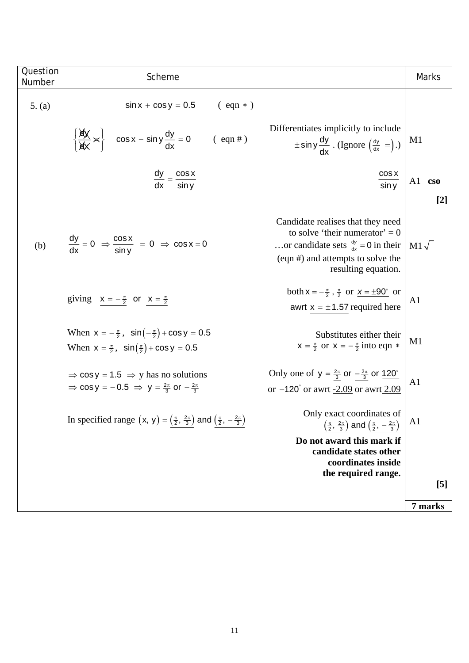| Question<br>Number | Scheme                                                                                                                                           |                                                                                                                                                                                     | Marks            |
|--------------------|--------------------------------------------------------------------------------------------------------------------------------------------------|-------------------------------------------------------------------------------------------------------------------------------------------------------------------------------------|------------------|
| 5. (a)             | $sin x + cos y = 0.5$<br>$(\text{eqn}*)$                                                                                                         |                                                                                                                                                                                     |                  |
|                    | $\left\{\frac{dy}{dx} \times \right\}$ cos x – sin y $\frac{dy}{dx} = 0$<br>$(\text{eqn#})$                                                      | Differentiates implicitly to include<br>$\pm$ sin y $\frac{dy}{dx}$ . (Ignore $\left(\frac{dy}{dx} = \right)$ .)                                                                    | M <sub>1</sub>   |
|                    | $\frac{dy}{dx} = \frac{\cos x}{\sin y}$                                                                                                          | COS X<br>sin y                                                                                                                                                                      | A1 cso<br>$[2]$  |
| (b)                | $\frac{dy}{dx} = 0 \Rightarrow \frac{\cos x}{\sin y} = 0 \Rightarrow \cos x = 0$                                                                 | Candidate realises that they need<br>to solve 'their numerator' = $0$<br>or candidate sets $\frac{dy}{dx} = 0$ in their<br>(eqn #) and attempts to solve the<br>resulting equation. | $M1\sqrt{ }$     |
|                    | giving $x = -\frac{\pi}{2}$ or $x = \frac{\pi}{2}$                                                                                               | both $x = -\frac{\pi}{2}$ , $\frac{\pi}{2}$ or $x = \pm 90^{\circ}$ or<br>awrt $x = \pm 1.57$ required here                                                                         | A1               |
|                    | When $x = -\frac{\pi}{2}$ , $\sin(-\frac{\pi}{2}) + \cos y = 0.5$<br>When $x = \frac{\pi}{2}$ , $\sin(\frac{\pi}{2}) + \cos y = 0.5$             | Substitutes either their<br>$x = \frac{\pi}{2}$ or $x = -\frac{\pi}{2}$ into eqn $*$                                                                                                | M1               |
|                    | $\Rightarrow$ cos y = 1.5 $\Rightarrow$ y has no solutions<br>$\Rightarrow$ cos y = -0.5 $\Rightarrow$ y = $\frac{2\pi}{3}$ or $-\frac{2\pi}{3}$ | Only one of $y = \frac{2\pi}{3}$ or $-\frac{2\pi}{3}$ or $\frac{120^{\circ}}{3}$<br>or $-120^{\circ}$ or awrt $-2.09$ or awrt 2.09                                                  | A <sub>1</sub>   |
|                    | In specified range $(x, y) = (\frac{\pi}{2}, \frac{2\pi}{3})$ and $(\frac{\pi}{2}, -\frac{2\pi}{3})$                                             | Only exact coordinates of<br>$\left(\frac{\pi}{2},\frac{2\pi}{3}\right)$ and $\left(\frac{\pi}{2},-\frac{2\pi}{3}\right)$                                                           | A <sub>1</sub>   |
|                    |                                                                                                                                                  | Do not award this mark if<br>candidate states other                                                                                                                                 |                  |
|                    |                                                                                                                                                  | coordinates inside                                                                                                                                                                  |                  |
|                    |                                                                                                                                                  | the required range.                                                                                                                                                                 | $\left[5\right]$ |
|                    |                                                                                                                                                  |                                                                                                                                                                                     |                  |
|                    |                                                                                                                                                  |                                                                                                                                                                                     | 7 marks          |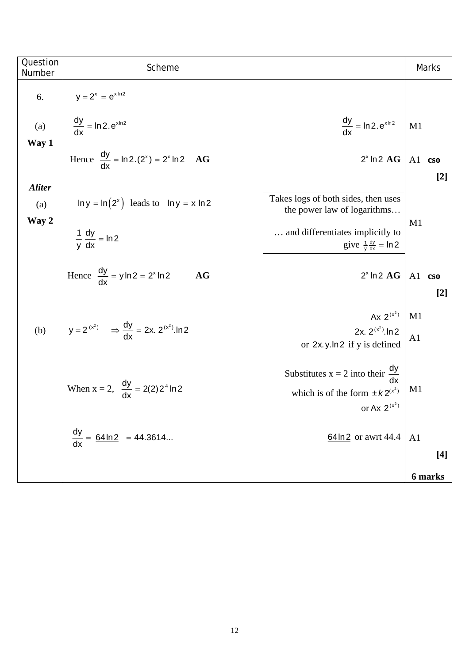| Question<br>Number            | Scheme                                                                                                                                                         |                | Marks           |
|-------------------------------|----------------------------------------------------------------------------------------------------------------------------------------------------------------|----------------|-----------------|
| 6.                            | $y = 2^x = e^{x \ln 2}$                                                                                                                                        |                |                 |
| (a)<br>Way 1                  | $\frac{dy}{dx} = \ln 2 \cdot e^{x \ln 2}$<br>$\frac{dy}{dx}$ = ln 2.e <sup>xln 2</sup>                                                                         | M1             |                 |
|                               | Hence $\frac{dy}{dx}$ = ln 2.(2 <sup>x</sup> ) = 2 <sup>x</sup> ln 2 AG<br>$2^x$ ln $2$ $AG$                                                                   | A1             | $\cos$<br>$[2]$ |
| <b>Aliter</b><br>(a)<br>Way 2 | Takes logs of both sides, then uses<br>$\ln y = \ln(2^x)$ leads to $\ln y = x \ln 2$<br>the power law of logarithms                                            | M1             |                 |
|                               | and differentiates implicitly to<br>$\frac{1}{v} \frac{dy}{dx} = \ln 2$<br>give $\frac{1}{y} \frac{dy}{dx} = \ln 2$                                            |                |                 |
|                               | Hence $\frac{dy}{dx} = y \ln 2 = 2^{x} \ln 2$<br>AG<br>$2^x$ ln $2$ $AG$                                                                                       | Al cso         | $[2]$           |
| (b)                           | Ax $2^{(x^2)}$<br>$y = 2^{(x^2)}$ $\Rightarrow \frac{dy}{dx} = 2x$ . $2^{(x^2)}$ . In 2<br>2x. $2^{(x^2)}$ . In 2<br>or 2x.y.ln2 if y is defined               | M1<br>A1       |                 |
|                               | Substitutes $x = 2$ into their $\frac{dy}{dx}$<br>When $x = 2$ , $\frac{dy}{dx} = 2(2)2^4 \ln 2$<br>which is of the form $\pm k2^{(x^2)}$<br>or Ax $2^{(x^2)}$ | M <sub>1</sub> |                 |
|                               | $\frac{dy}{dx} = \frac{64 \ln 2}{x} = 44.3614$<br>$64 \ln 2$ or awrt 44.4                                                                                      | A <sub>1</sub> | $[4]$           |
|                               |                                                                                                                                                                |                | 6 marks         |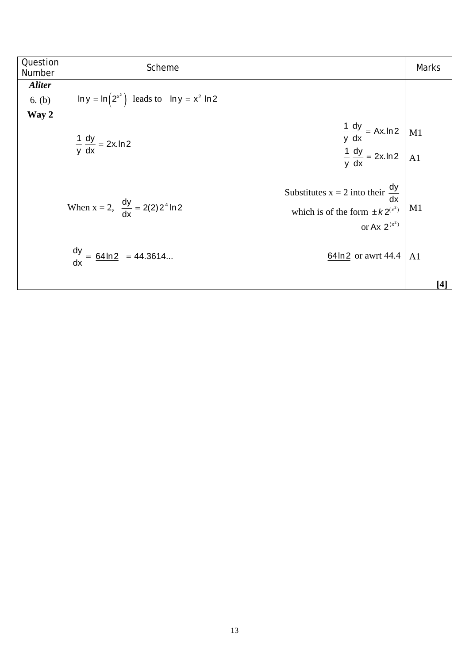| Question<br>Number      | Scheme                                                                                                                                                         | <b>Marks</b>                                                                                                                                                                                             |
|-------------------------|----------------------------------------------------------------------------------------------------------------------------------------------------------------|----------------------------------------------------------------------------------------------------------------------------------------------------------------------------------------------------------|
| <b>Aliter</b><br>6. (b) | $\ln y = \ln(2^{x^2})$ leads to $\ln y = x^2 \ln 2$                                                                                                            |                                                                                                                                                                                                          |
| Way 2                   | $rac{1}{y} \frac{dy}{dx} = Ax \cdot ln2$ M1<br>$rac{1}{y} \frac{dy}{dx} = 2x \cdot ln2$ A1<br>$\frac{1}{y} \frac{dy}{dx} = 2x \cdot \ln 2$                     |                                                                                                                                                                                                          |
|                         | Substitutes $x = 2$ into their $\frac{dy}{dx}$<br>When $x = 2$ , $\frac{dy}{dx} = 2(2)2^4 \ln 2$<br>which is of the form $\pm k2^{(x^2)}$<br>or Ax $2^{(x^2)}$ | M1                                                                                                                                                                                                       |
|                         | $\frac{dy}{dx} = \frac{64 \ln 2}{x} = 44.3614$<br>64ln2 or awrt 44.4                                                                                           | A1<br>$[4] \centering% \includegraphics[width=1\textwidth]{images/TransY.pdf} \caption{The first two different values of $d=3$ and $d=4$ (left) and $d=4$ (right) and $d=5$ (right).} \label{fig:class}$ |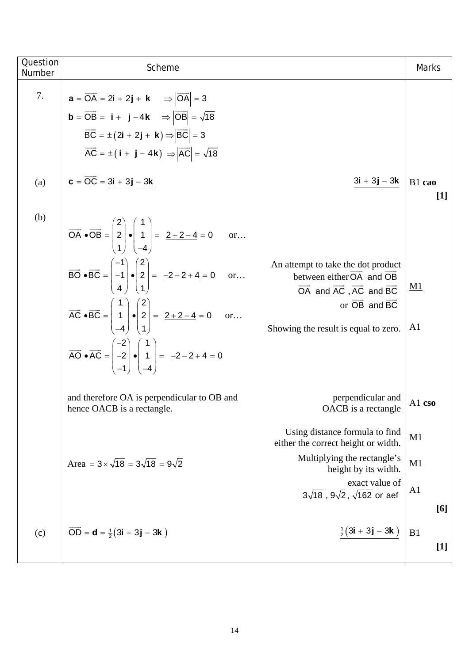| Question<br>Number | Scheme                                                                                                                                                                                                                                                                                                                                                                                                                                                                                                                                                                                                | Marks                       |
|--------------------|-------------------------------------------------------------------------------------------------------------------------------------------------------------------------------------------------------------------------------------------------------------------------------------------------------------------------------------------------------------------------------------------------------------------------------------------------------------------------------------------------------------------------------------------------------------------------------------------------------|-----------------------------|
| 7.<br>(a)          | $\mathbf{a} = \overrightarrow{\mathsf{OA}} = 2\mathbf{i} + 2\mathbf{j} + \mathbf{k} \Rightarrow  \overrightarrow{\mathsf{OA}}  = 3$<br><b>b</b> = $\overrightarrow{OB}$ = <b>i</b> + <b>j</b> -4 <b>k</b> $\Rightarrow  \overrightarrow{OB}  = \sqrt{18}$<br>$\overrightarrow{BC} = \pm (2\mathbf{i} + 2\mathbf{j} + \mathbf{k}) \Rightarrow  \overrightarrow{BC}  = 3$<br>$\overrightarrow{AC} = \pm (\mathbf{i} + \mathbf{j} - 4\mathbf{k}) \Rightarrow  \overrightarrow{AC}  = \sqrt{18}$<br>$c = \overrightarrow{OC} = 3i + 3j - 3k$<br>$\frac{3\mathbf{i}+3\mathbf{j}-3\mathbf{k}}{2\mathbf{k}}$ | B1 cao                      |
| (b)                | $\overrightarrow{OA} \cdot \overrightarrow{OB} = \begin{pmatrix} 2 \\ 2 \\ 1 \end{pmatrix} \cdot \begin{pmatrix} 1 \\ 1 \\ 1 \end{pmatrix} = \frac{2+2-4}{2} = 0$ or                                                                                                                                                                                                                                                                                                                                                                                                                                  | $[1]$                       |
|                    | $\overrightarrow{BO} \cdot \overrightarrow{BC} = \begin{pmatrix} -1 \\ -1 \\ 1 \end{pmatrix} \cdot \begin{pmatrix} 2 \\ 2 \\ 1 \end{pmatrix} = \frac{-2 - 2 + 4}{2} = 0 \text{ or } $<br>An attempt to take the dot product<br>between either OA and OB<br>OA and AC, AC and BC<br>$\overrightarrow{AC} \cdot \overrightarrow{BC} = \begin{pmatrix} 1 \\ 1 \\ 1 \end{pmatrix} \cdot \begin{pmatrix} 2 \\ 2 \\ 1 \end{pmatrix} = \frac{2+2-4}{2} = 0$ or<br>or OB and BC                                                                                                                               | <u>M1</u><br>A <sub>1</sub> |
|                    | Showing the result is equal to zero.<br>$\overrightarrow{AO} \cdot \overrightarrow{AC} = \begin{pmatrix} -2 \\ -2 \\ 4 \end{pmatrix} \cdot \begin{pmatrix} 1 \\ 1 \\ 1 \end{pmatrix} = \frac{-2 - 2 + 4}{-2 - 2 + 4} = 0$                                                                                                                                                                                                                                                                                                                                                                             |                             |
|                    | perpendicular and<br>OACB is a rectangle<br>and therefore OA is perpendicular to OB and<br>hence OACB is a rectangle.                                                                                                                                                                                                                                                                                                                                                                                                                                                                                 | A1 cso                      |
|                    | Using distance formula to find<br>either the correct height or width.<br>Multiplying the rectangle's<br>Area = $3 \times \sqrt{18}$ = $3\sqrt{18}$ = $9\sqrt{2}$<br>height by its width.                                                                                                                                                                                                                                                                                                                                                                                                              | M <sub>1</sub><br>M1        |
|                    | exact value of<br>$3\sqrt{18}$ , $9\sqrt{2}$ , $\sqrt{162}$ or aef                                                                                                                                                                                                                                                                                                                                                                                                                                                                                                                                    | A <sub>1</sub><br>[6]       |
| (c)                | $\frac{1}{2}$ (3i + 3j – 3k)<br>$\overline{OD} = d = \frac{1}{2}(3i + 3j - 3k)$                                                                                                                                                                                                                                                                                                                                                                                                                                                                                                                       | B1<br>$[1]$                 |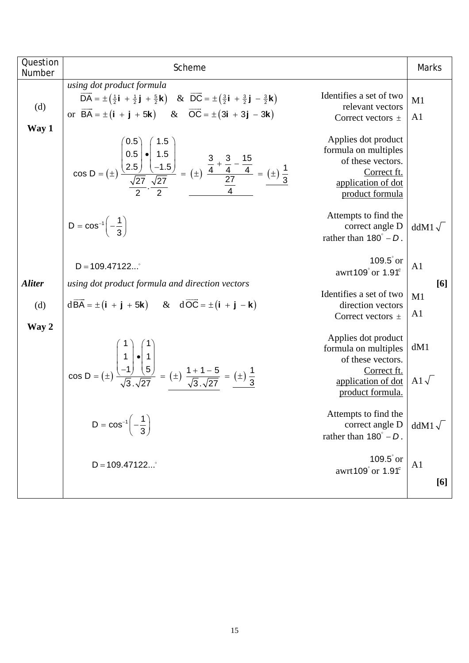| Question<br>Number | Scheme                                                                                                                                                                                                                                                                                                                                                                                                         |                                                                                                                           | Marks                       |
|--------------------|----------------------------------------------------------------------------------------------------------------------------------------------------------------------------------------------------------------------------------------------------------------------------------------------------------------------------------------------------------------------------------------------------------------|---------------------------------------------------------------------------------------------------------------------------|-----------------------------|
| (d)<br>Way 1       | using dot product formula<br>$\overrightarrow{DA} = \pm \left(\frac{1}{2}\mathbf{i} + \frac{1}{2}\mathbf{j} + \frac{5}{2}\mathbf{k}\right)$ & $\overrightarrow{DC} = \pm \left(\frac{3}{2}\mathbf{i} + \frac{3}{2}\mathbf{j} - \frac{3}{2}\mathbf{k}\right)$<br>or $\overrightarrow{BA} = \pm (\mathbf{i} + \mathbf{j} + 5\mathbf{k})$ & $\overrightarrow{OC} = \pm (3\mathbf{i} + 3\mathbf{j} - 3\mathbf{k})$ | Identifies a set of two<br>relevant vectors<br>Correct vectors $\pm$                                                      | M1<br>A <sub>1</sub>        |
|                    | cos D = (±) $\frac{\begin{pmatrix} 0.5 \\ 0.5 \\ 2.5 \end{pmatrix} \cdot \begin{pmatrix} 1.5 \\ 1.5 \\ -1.5 \end{pmatrix}}{\frac{\sqrt{27}}{2}} = (\pm) \frac{\frac{3}{4} + \frac{3}{4} - \frac{15}{4}}{\frac{27}{4}} = (\pm) \frac{1}{3}$                                                                                                                                                                     | Applies dot product<br>formula on multiples<br>of these vectors.<br>Correct ft.<br>application of dot<br>product formula  |                             |
|                    | $D = cos^{-1} \left(-\frac{1}{3}\right)$                                                                                                                                                                                                                                                                                                                                                                       | Attempts to find the<br>correct angle D<br>rather than $180^\circ - D$ .                                                  | ddM $1\sqrt{ }$             |
| <b>Aliter</b>      | $D = 109.47122$<br>using dot product formula and direction vectors<br>$d\overrightarrow{BA} = \pm (\mathbf{i} + \mathbf{j} + 5\mathbf{k})$ & $d\overrightarrow{OC} = \pm (\mathbf{i} + \mathbf{j} - \mathbf{k})$                                                                                                                                                                                               | $109.5^\circ$ or<br>awrt109° or 1.91 <sup>c</sup>                                                                         | A <sub>1</sub>              |
| (d)<br>Way 2       |                                                                                                                                                                                                                                                                                                                                                                                                                | Identifies a set of two<br>direction vectors<br>Correct vectors $\pm$                                                     | [6]<br>M1<br>A <sub>1</sub> |
|                    | $\cos D = (\pm) \frac{\begin{vmatrix} 1 \\ -1 \end{vmatrix} \cdot \begin{vmatrix} 1 \\ 5 \end{vmatrix}}{\sqrt{3} \cdot \sqrt{27}} = (\pm) \frac{1+1-5}{\sqrt{3} \cdot \sqrt{27}} = (\pm) \frac{1}{3}$                                                                                                                                                                                                          | Applies dot product<br>formula on multiples<br>of these vectors.<br>Correct ft.<br>application of dot<br>product formula. | dM1<br>A1 $\sqrt{ }$        |
|                    | $D = cos^{-1}\left(-\frac{1}{3}\right)$                                                                                                                                                                                                                                                                                                                                                                        | Attempts to find the<br>correct angle D<br>rather than $180^\circ - D$ .                                                  | ddM1 $\sqrt{}$              |
|                    | $D = 109.47122$                                                                                                                                                                                                                                                                                                                                                                                                | $109.5$ ° or<br>awrt109 $^{\circ}$ or 1.91 $^{\circ}$                                                                     | A <sub>1</sub><br>[6]       |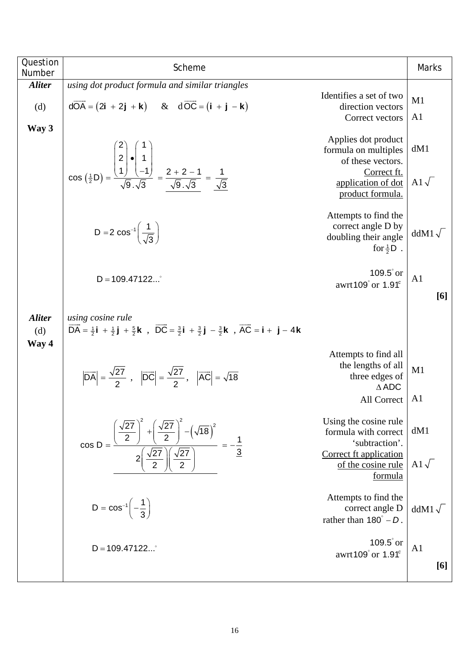| Question<br>Number            | Scheme                                                                                                                                                                                                                                                                             |                                                                                                                                 | Marks                           |  |
|-------------------------------|------------------------------------------------------------------------------------------------------------------------------------------------------------------------------------------------------------------------------------------------------------------------------------|---------------------------------------------------------------------------------------------------------------------------------|---------------------------------|--|
| <b>Aliter</b>                 | using dot product formula and similar triangles                                                                                                                                                                                                                                    |                                                                                                                                 |                                 |  |
| (d)                           | $d\overrightarrow{OA} = (2\mathbf{i} + 2\mathbf{j} + \mathbf{k})$ & $d\overrightarrow{OC} = (\mathbf{i} + \mathbf{j} - \mathbf{k})$                                                                                                                                                | Identifies a set of two<br>direction vectors                                                                                    | M1                              |  |
|                               |                                                                                                                                                                                                                                                                                    | Correct vectors                                                                                                                 | A <sub>1</sub>                  |  |
| Way 3                         | $\cos\left(\frac{1}{2}D\right) = \frac{\begin{pmatrix} 2 \\ 2 \\ 1 \end{pmatrix} \cdot \begin{pmatrix} 1 \\ -1 \\ -1 \end{pmatrix}}{\sqrt{9} \cdot \sqrt{3}} = \frac{2+2-1}{\sqrt{9} \cdot \sqrt{3}} = \frac{1}{\sqrt{3}}$                                                         | Applies dot product<br>formula on multiples<br>of these vectors.<br>Correct ft.<br>application of dot<br>product formula.       | dM1<br>A1 $\sqrt{}$             |  |
|                               | D = 2 $\cos^{-1} \left( \frac{1}{\sqrt{3}} \right)$                                                                                                                                                                                                                                | Attempts to find the<br>correct angle D by<br>doubling their angle<br>for $\frac{1}{2}$ D.                                      | $ddM1\sqrt{}$                   |  |
|                               | 109.5° or $ $<br>$D = 109.47122$<br>awrt109° or 1.91°                                                                                                                                                                                                                              |                                                                                                                                 |                                 |  |
| <b>Aliter</b><br>(d)<br>Way 4 | using cosine rule<br>$\overrightarrow{DA} = \frac{1}{2}\mathbf{i} + \frac{1}{2}\mathbf{j} + \frac{5}{2}\mathbf{k}$ , $\overrightarrow{DC} = \frac{3}{2}\mathbf{i} + \frac{3}{2}\mathbf{j} - \frac{3}{2}\mathbf{k}$ , $\overrightarrow{AC} = \mathbf{i} + \mathbf{j} - 4\mathbf{k}$ |                                                                                                                                 |                                 |  |
|                               | $ \overrightarrow{DA}  = \frac{\sqrt{27}}{2}$ , $ \overrightarrow{DC}  = \frac{\sqrt{27}}{2}$ , $ \overrightarrow{AC}  = \sqrt{18}$                                                                                                                                                | Attempts to find all<br>the lengths of all<br>three edges of<br>$\triangle$ ADC<br>All Correct                                  | M1<br>A <sub>1</sub>            |  |
|                               | $\frac{1}{\left(\frac{\sqrt{27}}{2}\right)\left(\frac{\sqrt{27}}{2}\right)}$<br>$cos D =$                                                                                                                                                                                          | Using the cosine rule<br>formula with correct<br>'subtraction'.<br>Correct ft application<br>of the cosine rule                 | dM1<br>A1 $\sqrt$               |  |
|                               | $D = cos^{-1} \left(-\frac{1}{3}\right)$<br>$D = 109.47122^{\circ}$                                                                                                                                                                                                                | <u>formula</u><br>Attempts to find the<br>correct angle D<br>rather than $180^\circ - D$ .<br>$109.5$ ° or<br>awrt109° or 1.91° | $ddM1\sqrt{}$<br>A <sub>1</sub> |  |
|                               |                                                                                                                                                                                                                                                                                    |                                                                                                                                 | [6]                             |  |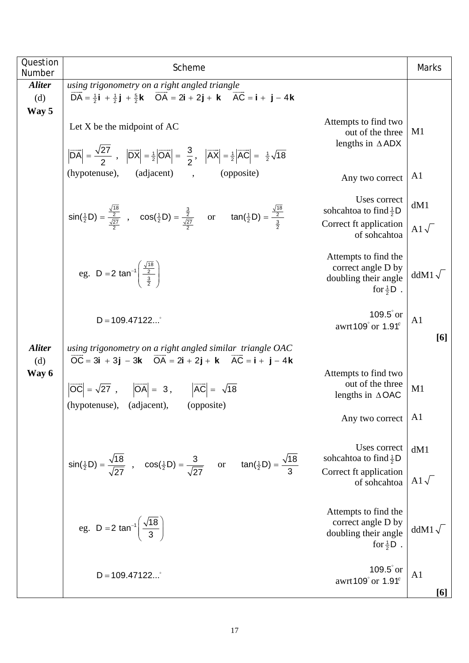| Question<br>Number            | Scheme                                                                                                                                                                                                                                          |                                                                                             | <b>Marks</b>          |  |  |  |  |
|-------------------------------|-------------------------------------------------------------------------------------------------------------------------------------------------------------------------------------------------------------------------------------------------|---------------------------------------------------------------------------------------------|-----------------------|--|--|--|--|
| <b>Aliter</b><br>(d)          | using trigonometry on a right angled triangle<br>$\overline{DA} = \frac{1}{2}i + \frac{1}{2}j + \frac{5}{2}k$ $\overline{OA} = 2i + 2j + k$ $\overline{AC} = i + j - 4k$                                                                        |                                                                                             |                       |  |  |  |  |
| Way 5                         | Let $X$ be the midpoint of $AC$<br>$ \overrightarrow{DA}  = \frac{\sqrt{27}}{2}$ , $ \overrightarrow{DX}  = \frac{1}{2} \overrightarrow{OA}  = \frac{3}{2}$ , $ \overrightarrow{AX}  = \frac{1}{2} \overrightarrow{AC}  = \frac{1}{2}\sqrt{18}$ | Attempts to find two<br>out of the three<br>lengths in $\triangle$ ADX                      | M1                    |  |  |  |  |
|                               | (hypotenuse),<br>(adjacent),<br>(opposite)                                                                                                                                                                                                      | Any two correct                                                                             | A1                    |  |  |  |  |
|                               | $sin(\frac{1}{2}D) = \frac{\frac{\sqrt{18}}{2}}{\frac{\sqrt{27}}{2}}$ , $cos(\frac{1}{2}D) = \frac{\frac{3}{2}}{\frac{\sqrt{27}}{2}}$ or $tan(\frac{1}{2}D) = \frac{\frac{\sqrt{18}}{2}}{\frac{3}{2}}$                                          | Uses correct<br>soheahtoa to find $\frac{1}{2}$ D<br>Correct ft application<br>of sohcahtoa | dM1<br>A1 $\sqrt{}$   |  |  |  |  |
|                               | eg. D = 2 tan <sup>-1</sup> $\left(\frac{\sqrt{18}}{\frac{2}{2}}\right)$                                                                                                                                                                        | Attempts to find the<br>correct angle D by<br>doubling their angle<br>for $\frac{1}{2}$ D.  | ddM $1\sqrt{ }$       |  |  |  |  |
|                               | $D = 109.47122^{\circ}$                                                                                                                                                                                                                         | $109.5$ ° or<br>awrt109 $^{\circ}$ or 1.91 $^{\circ}$                                       | A1<br>[6]             |  |  |  |  |
| <b>Aliter</b><br>(d)<br>Way 6 | using trigonometry on a right angled similar triangle OAC<br>$\overrightarrow{OC} = 3i + 3j - 3k$ $\overrightarrow{OA} = 2i + 2j + k$ $\overrightarrow{AC} = i + j - 4k$                                                                        |                                                                                             |                       |  |  |  |  |
|                               | $ \overrightarrow{OC}  = \sqrt{27}$ , $ \overrightarrow{OA}  = 3$ , $ \overrightarrow{AC}  = \sqrt{18}$<br>(hypotenuse), (adjacent), (opposite)                                                                                                 | Attempts to find two<br>out of the three<br>lengths in $\triangle$ OAC                      | M1                    |  |  |  |  |
|                               |                                                                                                                                                                                                                                                 | Any two correct                                                                             | A <sub>1</sub>        |  |  |  |  |
|                               | $sin(\frac{1}{2}D) = \frac{\sqrt{18}}{\sqrt{27}}$ , $cos(\frac{1}{2}D) = \frac{3}{\sqrt{27}}$ or $tan(\frac{1}{2}D) = \frac{\sqrt{18}}{3}$                                                                                                      | Uses correct<br>soheahtoa to find $\frac{1}{2}$ D                                           | dM1                   |  |  |  |  |
|                               |                                                                                                                                                                                                                                                 | Correct ft application<br>of sohcahtoa                                                      |                       |  |  |  |  |
|                               | eg. D = 2 tan <sup>-1</sup> $\left(\frac{\sqrt{18}}{3}\right)$                                                                                                                                                                                  | Attempts to find the<br>correct angle D by<br>doubling their angle<br>for $\frac{1}{2}$ D.  | $ddM1\sqrt{}$         |  |  |  |  |
|                               | $D = 109.47122$                                                                                                                                                                                                                                 | $109.5$ ° or<br>awrt109° or 1.91 <sup>c</sup>                                               | A <sub>1</sub><br>[6] |  |  |  |  |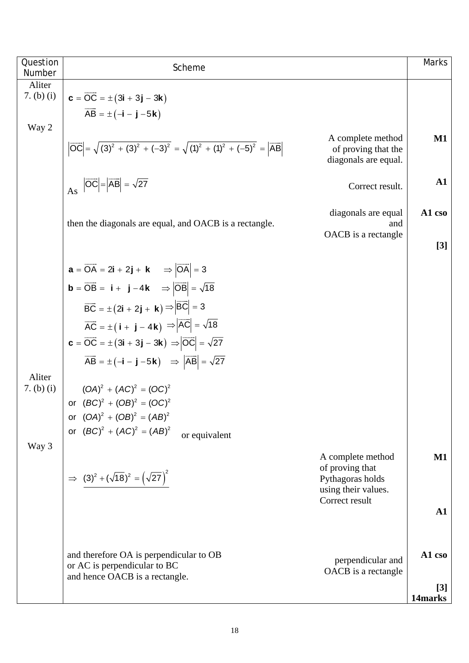| Question<br>Number   | Scheme                                                                                                                           |                                                                  | <b>Marks</b>  |  |  |  |
|----------------------|----------------------------------------------------------------------------------------------------------------------------------|------------------------------------------------------------------|---------------|--|--|--|
| Aliter               |                                                                                                                                  |                                                                  |               |  |  |  |
| 7. (b) (i)           | $c = \overline{OC} = \pm (3i + 3j - 3k)$                                                                                         |                                                                  |               |  |  |  |
| Way 2                | $\overrightarrow{AB} = \pm (-i - j - 5k)$                                                                                        |                                                                  |               |  |  |  |
|                      | $ \overrightarrow{OC}  = \sqrt{(3)^2 + (3)^2 + (-3)^2} = \sqrt{(1)^2 + (1)^2 + (-5)^2} =  \overrightarrow{AB} $                  | A complete method<br>of proving that the<br>diagonals are equal. | M1            |  |  |  |
|                      | As $ \overrightarrow{OC}  =  \overrightarrow{AB}  = \sqrt{27}$                                                                   | Correct result.                                                  | $\mathbf{A1}$ |  |  |  |
|                      | then the diagonals are equal, and OACB is a rectangle.                                                                           | diagonals are equal<br>and                                       | A1 cso        |  |  |  |
|                      |                                                                                                                                  | OACB is a rectangle                                              | $[3]$         |  |  |  |
|                      | $\mathbf{a} = \overrightarrow{\mathsf{OA}} = 2\mathbf{i} + 2\mathbf{j} + \mathbf{k} \implies  \overrightarrow{\mathsf{OA}}  = 3$ |                                                                  |               |  |  |  |
|                      | <b>b</b> = $\overrightarrow{OB}$ = <b>i</b> + <b>j</b> -4 <b>k</b> $\Rightarrow  \overrightarrow{OB}  = \sqrt{18}$               |                                                                  |               |  |  |  |
|                      | $\overrightarrow{BC} = \pm (2\mathbf{i} + 2\mathbf{j} + \mathbf{k}) \Rightarrow  \overrightarrow{BC}  = 3$                       |                                                                  |               |  |  |  |
|                      | $\overrightarrow{AC} = \pm (\mathbf{i} + \mathbf{j} - 4\mathbf{k}) \Rightarrow  \overrightarrow{AC}  = \sqrt{18}$                |                                                                  |               |  |  |  |
|                      | $\mathbf{c} = \overrightarrow{OC} = \pm (3\mathbf{i} + 3\mathbf{j} - 3\mathbf{k}) \Rightarrow  \overrightarrow{OC}  = \sqrt{27}$ |                                                                  |               |  |  |  |
|                      | $\overrightarrow{AB} = \pm (-i - j - 5k)$ $\Rightarrow  \overrightarrow{AB}  = \sqrt{27}$                                        |                                                                  |               |  |  |  |
| Aliter<br>7. (b) (i) | $(OA)^2 + (AC)^2 = (OC)^2$                                                                                                       |                                                                  |               |  |  |  |
|                      | or $(BC)^2 + (OB)^2 = (OC)^2$                                                                                                    |                                                                  |               |  |  |  |
|                      | or $(OA)^2 + (OB)^2 = (AB)^2$                                                                                                    |                                                                  |               |  |  |  |
|                      | or $(BC)^2 + (AC)^2 = (AB)^2$<br>or equivalent                                                                                   |                                                                  |               |  |  |  |
| Way 3                |                                                                                                                                  | A complete method                                                | <b>M1</b>     |  |  |  |
|                      | $\Rightarrow$ $(3)^2 + (\sqrt{18})^2 = (\sqrt{27})^2$                                                                            | of proving that<br>Pythagoras holds                              |               |  |  |  |
|                      |                                                                                                                                  | using their values.                                              |               |  |  |  |
|                      |                                                                                                                                  | Correct result                                                   | ${\bf A1}$    |  |  |  |
|                      |                                                                                                                                  |                                                                  |               |  |  |  |
|                      |                                                                                                                                  |                                                                  | A1 cso        |  |  |  |
|                      | and therefore OA is perpendicular to OB<br>or AC is perpendicular to BC                                                          | perpendicular and<br>OACB is a rectangle                         |               |  |  |  |
|                      | and hence OACB is a rectangle.                                                                                                   |                                                                  | [3]           |  |  |  |
|                      |                                                                                                                                  |                                                                  | 14marks       |  |  |  |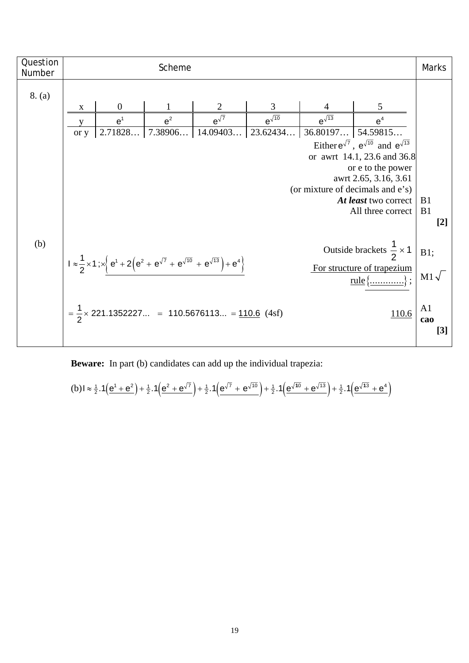| Question<br>Number | Scheme                                                                                                                                                                                                                  |                  |       |                                                               |                 | Marks               |                                                             |                |
|--------------------|-------------------------------------------------------------------------------------------------------------------------------------------------------------------------------------------------------------------------|------------------|-------|---------------------------------------------------------------|-----------------|---------------------|-------------------------------------------------------------|----------------|
| 8. (a)             |                                                                                                                                                                                                                         |                  |       |                                                               |                 |                     |                                                             |                |
|                    | X                                                                                                                                                                                                                       | $\boldsymbol{0}$ |       | 2                                                             | 3               |                     | 5                                                           |                |
|                    |                                                                                                                                                                                                                         | e <sup>1</sup>   | $e^2$ | $e^{\sqrt{7}}$                                                | $e^{\sqrt{10}}$ | $e^{\sqrt{13}}$     | e <sup>4</sup>                                              |                |
|                    | or y                                                                                                                                                                                                                    |                  |       | $\vert$ 2.71828   7.38906   14.09403   23.62434               |                 | $36.80197$ 54.59815 |                                                             |                |
|                    |                                                                                                                                                                                                                         |                  |       |                                                               |                 |                     | Either $e^{\sqrt{7}}$ , $e^{\sqrt{10}}$ and $e^{\sqrt{13}}$ |                |
|                    |                                                                                                                                                                                                                         |                  |       |                                                               |                 |                     | or awrt 14.1, 23.6 and 36.8                                 |                |
|                    |                                                                                                                                                                                                                         |                  |       |                                                               |                 |                     | or e to the power                                           |                |
|                    |                                                                                                                                                                                                                         |                  |       |                                                               |                 |                     | awrt 2.65, 3.16, 3.61<br>(or mixture of decimals and e's)   |                |
|                    |                                                                                                                                                                                                                         |                  |       |                                                               |                 |                     | At least two correct                                        | B <sub>1</sub> |
|                    | All three correct                                                                                                                                                                                                       |                  |       |                                                               |                 | B <sub>1</sub>      |                                                             |                |
|                    |                                                                                                                                                                                                                         |                  |       |                                                               |                 |                     |                                                             | $[2]$          |
|                    |                                                                                                                                                                                                                         |                  |       |                                                               |                 |                     |                                                             |                |
| (b)                |                                                                                                                                                                                                                         |                  |       |                                                               |                 |                     | Outside brackets $\frac{1}{2} \times 1$                     | B1;            |
|                    |                                                                                                                                                                                                                         |                  |       |                                                               |                 |                     |                                                             |                |
|                    | $1 \approx \frac{1}{2} \times 1$ ; $\times \left\{ e^{1} + 2 \left( e^{2} + e^{\sqrt{7}} + e^{\sqrt{10}} + e^{\sqrt{13}} \right) + e^{4} \right\}$<br>For structure of trapezium<br>$rule \{\underline{\hspace{1cm}}\}$ |                  |       |                                                               | $M1\sqrt{ }$    |                     |                                                             |                |
|                    |                                                                                                                                                                                                                         |                  |       |                                                               |                 |                     |                                                             |                |
|                    |                                                                                                                                                                                                                         |                  |       |                                                               |                 |                     |                                                             | A <sub>1</sub> |
|                    |                                                                                                                                                                                                                         |                  |       | $=\frac{1}{2} \times 221.1352227 = 110.5676113 = 110.6$ (4sf) |                 |                     | 110.6                                                       | cao            |
|                    |                                                                                                                                                                                                                         |                  |       |                                                               |                 |                     |                                                             | [3]            |
|                    |                                                                                                                                                                                                                         |                  |       |                                                               |                 |                     |                                                             |                |

**Beware:** In part (b) candidates can add up the individual trapezia:

$$
(b) \mathbf{1} \approx \frac{1}{2} \cdot 1 \left( \frac{e^1 + e^2}{2} \right) + \frac{1}{2} \cdot 1 \left( \frac{e^2 + e^{\sqrt{7}}}{2} \right) + \frac{1}{2} \cdot 1 \left( \frac{e^{\sqrt{7}} + e^{\sqrt{10}}}{2} \right) + \frac{1}{2} \cdot 1 \left( \frac{e^{\sqrt{10}} + e^{\sqrt{13}}}{2} \right) + \frac{1}{2} \cdot 1 \left( \frac{e^{\sqrt{13}} + e^4}{2} \right)
$$